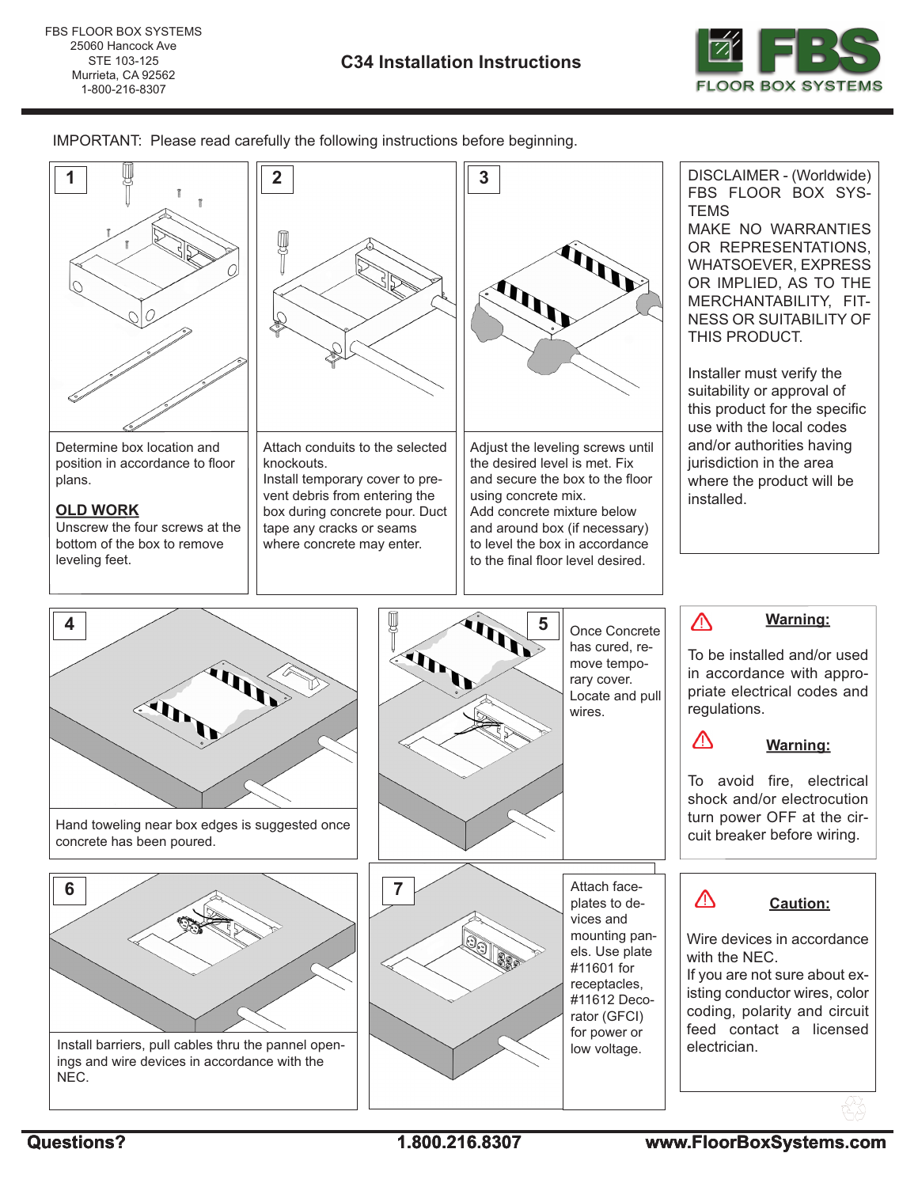

IMPORTANT: Please read carefully the following instructions before beginning.